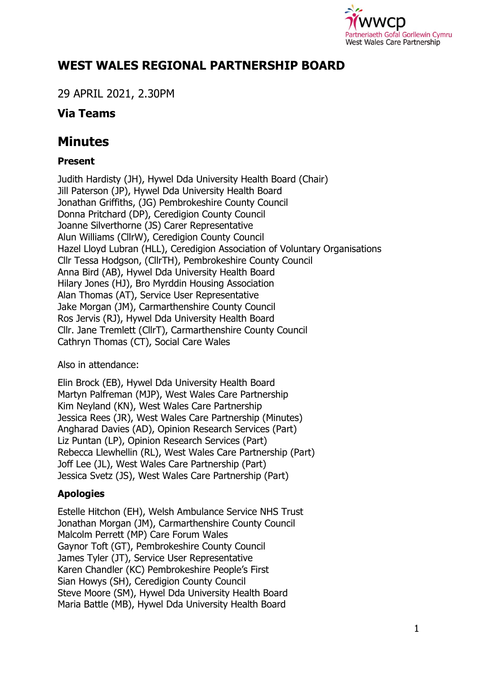

# **WEST WALES REGIONAL PARTNERSHIP BOARD**

29 APRIL 2021, 2.30PM

# **Via Teams**

# **Minutes**

# **Present**

Judith Hardisty (JH), Hywel Dda University Health Board (Chair) Jill Paterson (JP), Hywel Dda University Health Board Jonathan Griffiths, (JG) Pembrokeshire County Council Donna Pritchard (DP), Ceredigion County Council Joanne Silverthorne (JS) Carer Representative Alun Williams (CllrW), Ceredigion County Council Hazel Lloyd Lubran (HLL), Ceredigion Association of Voluntary Organisations Cllr Tessa Hodgson, (CllrTH), Pembrokeshire County Council Anna Bird (AB), Hywel Dda University Health Board Hilary Jones (HJ), Bro Myrddin Housing Association Alan Thomas (AT), Service User Representative Jake Morgan (JM), Carmarthenshire County Council Ros Jervis (RJ), Hywel Dda University Health Board Cllr. Jane Tremlett (CllrT), Carmarthenshire County Council Cathryn Thomas (CT), Social Care Wales

Also in attendance:

Elin Brock (EB), Hywel Dda University Health Board Martyn Palfreman (MJP), West Wales Care Partnership Kim Neyland (KN), West Wales Care Partnership Jessica Rees (JR), West Wales Care Partnership (Minutes) Angharad Davies (AD), Opinion Research Services (Part) Liz Puntan (LP), Opinion Research Services (Part) Rebecca Llewhellin (RL), West Wales Care Partnership (Part) Joff Lee (JL), West Wales Care Partnership (Part) Jessica Svetz (JS), West Wales Care Partnership (Part)

# **Apologies**

Estelle Hitchon (EH), Welsh Ambulance Service NHS Trust Jonathan Morgan (JM), Carmarthenshire County Council Malcolm Perrett (MP) Care Forum Wales Gaynor Toft (GT), Pembrokeshire County Council James Tyler (JT), Service User Representative Karen Chandler (KC) Pembrokeshire People's First Sian Howys (SH), Ceredigion County Council Steve Moore (SM), Hywel Dda University Health Board Maria Battle (MB), Hywel Dda University Health Board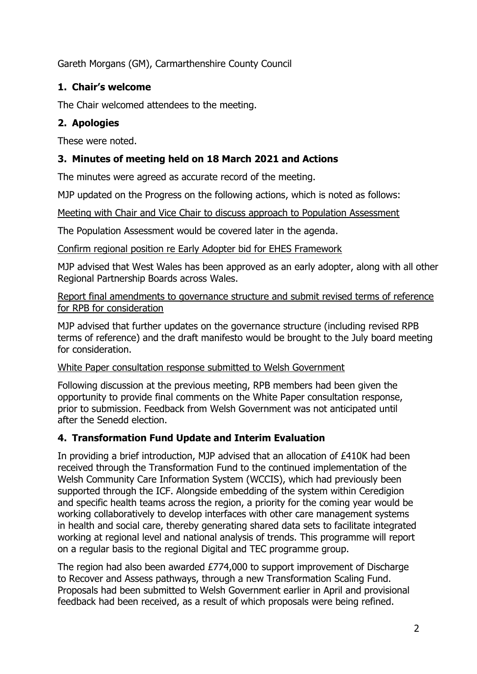Gareth Morgans (GM), Carmarthenshire County Council

## **1. Chair's welcome**

The Chair welcomed attendees to the meeting.

## **2. Apologies**

These were noted.

# **3. Minutes of meeting held on 18 March 2021 and Actions**

The minutes were agreed as accurate record of the meeting.

MJP updated on the Progress on the following actions, which is noted as follows:

Meeting with Chair and Vice Chair to discuss approach to Population Assessment

The Population Assessment would be covered later in the agenda.

Confirm regional position re Early Adopter bid for EHES Framework

MJP advised that West Wales has been approved as an early adopter, along with all other Regional Partnership Boards across Wales.

Report final amendments to governance structure and submit revised terms of reference for RPB for consideration

MJP advised that further updates on the governance structure (including revised RPB terms of reference) and the draft manifesto would be brought to the July board meeting for consideration.

#### White Paper consultation response submitted to Welsh Government

Following discussion at the previous meeting, RPB members had been given the opportunity to provide final comments on the White Paper consultation response, prior to submission. Feedback from Welsh Government was not anticipated until after the Senedd election.

## **4. Transformation Fund Update and Interim Evaluation**

In providing a brief introduction, MJP advised that an allocation of £410K had been received through the Transformation Fund to the continued implementation of the Welsh Community Care Information System (WCCIS), which had previously been supported through the ICF. Alongside embedding of the system within Ceredigion and specific health teams across the region, a priority for the coming year would be working collaboratively to develop interfaces with other care management systems in health and social care, thereby generating shared data sets to facilitate integrated working at regional level and national analysis of trends. This programme will report on a regular basis to the regional Digital and TEC programme group.

The region had also been awarded £774,000 to support improvement of Discharge to Recover and Assess pathways, through a new Transformation Scaling Fund. Proposals had been submitted to Welsh Government earlier in April and provisional feedback had been received, as a result of which proposals were being refined.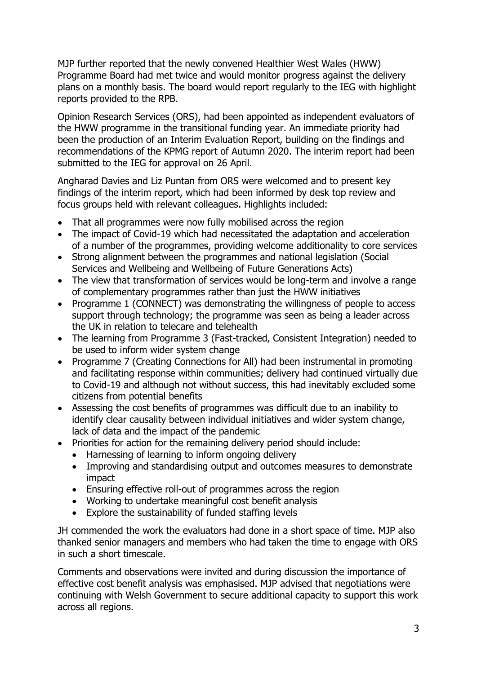MJP further reported that the newly convened Healthier West Wales (HWW) Programme Board had met twice and would monitor progress against the delivery plans on a monthly basis. The board would report regularly to the IEG with highlight reports provided to the RPB.

Opinion Research Services (ORS), had been appointed as independent evaluators of the HWW programme in the transitional funding year. An immediate priority had been the production of an Interim Evaluation Report, building on the findings and recommendations of the KPMG report of Autumn 2020. The interim report had been submitted to the IEG for approval on 26 April.

Angharad Davies and Liz Puntan from ORS were welcomed and to present key findings of the interim report, which had been informed by desk top review and focus groups held with relevant colleagues. Highlights included:

- That all programmes were now fully mobilised across the region
- The impact of Covid-19 which had necessitated the adaptation and acceleration of a number of the programmes, providing welcome additionality to core services
- Strong alignment between the programmes and national legislation (Social Services and Wellbeing and Wellbeing of Future Generations Acts)
- The view that transformation of services would be long-term and involve a range of complementary programmes rather than just the HWW initiatives
- Programme 1 (CONNECT) was demonstrating the willingness of people to access support through technology; the programme was seen as being a leader across the UK in relation to telecare and telehealth
- The learning from Programme 3 (Fast-tracked, Consistent Integration) needed to be used to inform wider system change
- Programme 7 (Creating Connections for All) had been instrumental in promoting and facilitating response within communities; delivery had continued virtually due to Covid-19 and although not without success, this had inevitably excluded some citizens from potential benefits
- Assessing the cost benefits of programmes was difficult due to an inability to identify clear causality between individual initiatives and wider system change, lack of data and the impact of the pandemic
- Priorities for action for the remaining delivery period should include:
	- Harnessing of learning to inform ongoing delivery
	- Improving and standardising output and outcomes measures to demonstrate impact
	- Ensuring effective roll-out of programmes across the region
	- Working to undertake meaningful cost benefit analysis
	- Explore the sustainability of funded staffing levels

JH commended the work the evaluators had done in a short space of time. MJP also thanked senior managers and members who had taken the time to engage with ORS in such a short timescale.

Comments and observations were invited and during discussion the importance of effective cost benefit analysis was emphasised. MJP advised that negotiations were continuing with Welsh Government to secure additional capacity to support this work across all regions.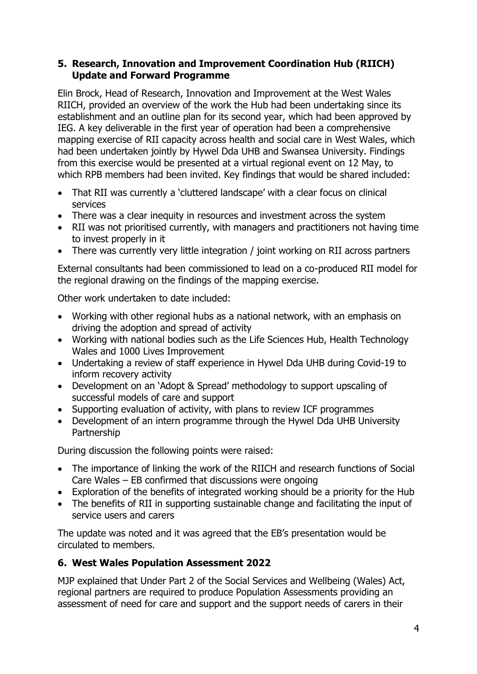#### **5. Research, Innovation and Improvement Coordination Hub (RIICH) Update and Forward Programme**

Elin Brock, Head of Research, Innovation and Improvement at the West Wales RIICH, provided an overview of the work the Hub had been undertaking since its establishment and an outline plan for its second year, which had been approved by IEG. A key deliverable in the first year of operation had been a comprehensive mapping exercise of RII capacity across health and social care in West Wales, which had been undertaken jointly by Hywel Dda UHB and Swansea University. Findings from this exercise would be presented at a virtual regional event on 12 May, to which RPB members had been invited. Key findings that would be shared included:

- That RII was currently a 'cluttered landscape' with a clear focus on clinical services
- There was a clear inequity in resources and investment across the system
- RII was not prioritised currently, with managers and practitioners not having time to invest properly in it
- There was currently very little integration / joint working on RII across partners

External consultants had been commissioned to lead on a co-produced RII model for the regional drawing on the findings of the mapping exercise.

Other work undertaken to date included:

- Working with other regional hubs as a national network, with an emphasis on driving the adoption and spread of activity
- Working with national bodies such as the Life Sciences Hub, Health Technology Wales and 1000 Lives Improvement
- Undertaking a review of staff experience in Hywel Dda UHB during Covid-19 to inform recovery activity
- Development on an 'Adopt & Spread' methodology to support upscaling of successful models of care and support
- Supporting evaluation of activity, with plans to review ICF programmes
- Development of an intern programme through the Hywel Dda UHB University Partnership

During discussion the following points were raised:

- The importance of linking the work of the RIICH and research functions of Social Care Wales – EB confirmed that discussions were ongoing
- Exploration of the benefits of integrated working should be a priority for the Hub
- The benefits of RII in supporting sustainable change and facilitating the input of service users and carers

The update was noted and it was agreed that the EB's presentation would be circulated to members.

## **6. West Wales Population Assessment 2022**

MJP explained that Under Part 2 of the Social Services and Wellbeing (Wales) Act, regional partners are required to produce Population Assessments providing an assessment of need for care and support and the support needs of carers in their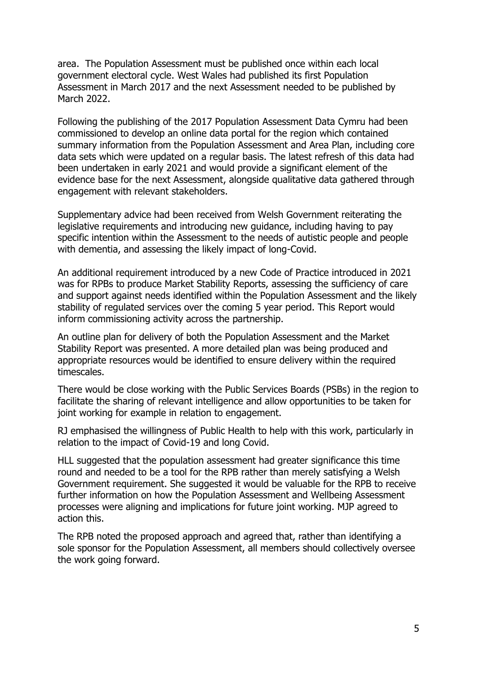area. The Population Assessment must be published once within each local government electoral cycle. West Wales had published its first Population Assessment in March 2017 and the next Assessment needed to be published by March 2022.

Following the publishing of the 2017 Population Assessment Data Cymru had been commissioned to develop an online data portal for the region which contained summary information from the Population Assessment and Area Plan, including core data sets which were updated on a regular basis. The latest refresh of this data had been undertaken in early 2021 and would provide a significant element of the evidence base for the next Assessment, alongside qualitative data gathered through engagement with relevant stakeholders.

Supplementary advice had been received from Welsh Government reiterating the legislative requirements and introducing new guidance, including having to pay specific intention within the Assessment to the needs of autistic people and people with dementia, and assessing the likely impact of long-Covid.

An additional requirement introduced by a new Code of Practice introduced in 2021 was for RPBs to produce Market Stability Reports, assessing the sufficiency of care and support against needs identified within the Population Assessment and the likely stability of regulated services over the coming 5 year period. This Report would inform commissioning activity across the partnership.

An outline plan for delivery of both the Population Assessment and the Market Stability Report was presented. A more detailed plan was being produced and appropriate resources would be identified to ensure delivery within the required timescales.

There would be close working with the Public Services Boards (PSBs) in the region to facilitate the sharing of relevant intelligence and allow opportunities to be taken for joint working for example in relation to engagement.

RJ emphasised the willingness of Public Health to help with this work, particularly in relation to the impact of Covid-19 and long Covid.

HLL suggested that the population assessment had greater significance this time round and needed to be a tool for the RPB rather than merely satisfying a Welsh Government requirement. She suggested it would be valuable for the RPB to receive further information on how the Population Assessment and Wellbeing Assessment processes were aligning and implications for future joint working. MJP agreed to action this.

The RPB noted the proposed approach and agreed that, rather than identifying a sole sponsor for the Population Assessment, all members should collectively oversee the work going forward.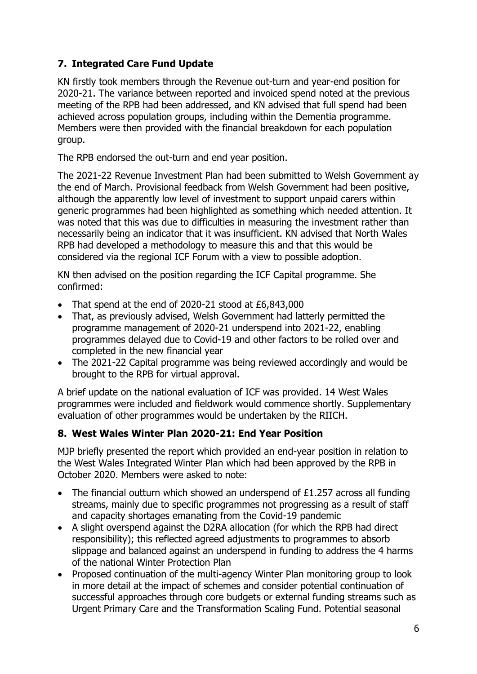# **7. Integrated Care Fund Update**

KN firstly took members through the Revenue out-turn and year-end position for 2020-21. The variance between reported and invoiced spend noted at the previous meeting of the RPB had been addressed, and KN advised that full spend had been achieved across population groups, including within the Dementia programme. Members were then provided with the financial breakdown for each population group.

The RPB endorsed the out-turn and end year position.

The 2021-22 Revenue Investment Plan had been submitted to Welsh Government ay the end of March. Provisional feedback from Welsh Government had been positive, although the apparently low level of investment to support unpaid carers within generic programmes had been highlighted as something which needed attention. It was noted that this was due to difficulties in measuring the investment rather than necessarily being an indicator that it was insufficient. KN advised that North Wales RPB had developed a methodology to measure this and that this would be considered via the regional ICF Forum with a view to possible adoption.

KN then advised on the position regarding the ICF Capital programme. She confirmed:

- That spend at the end of 2020-21 stood at £6,843,000
- That, as previously advised, Welsh Government had latterly permitted the programme management of 2020-21 underspend into 2021-22, enabling programmes delayed due to Covid-19 and other factors to be rolled over and completed in the new financial year
- The 2021-22 Capital programme was being reviewed accordingly and would be brought to the RPB for virtual approval.

A brief update on the national evaluation of ICF was provided. 14 West Wales programmes were included and fieldwork would commence shortly. Supplementary evaluation of other programmes would be undertaken by the RIICH.

## **8. West Wales Winter Plan 2020-21: End Year Position**

MJP briefly presented the report which provided an end-year position in relation to the West Wales Integrated Winter Plan which had been approved by the RPB in October 2020. Members were asked to note:

- The financial outturn which showed an underspend of  $£1.257$  across all funding streams, mainly due to specific programmes not progressing as a result of staff and capacity shortages emanating from the Covid-19 pandemic
- A slight overspend against the D2RA allocation (for which the RPB had direct responsibility); this reflected agreed adjustments to programmes to absorb slippage and balanced against an underspend in funding to address the 4 harms of the national Winter Protection Plan
- Proposed continuation of the multi-agency Winter Plan monitoring group to look in more detail at the impact of schemes and consider potential continuation of successful approaches through core budgets or external funding streams such as Urgent Primary Care and the Transformation Scaling Fund. Potential seasonal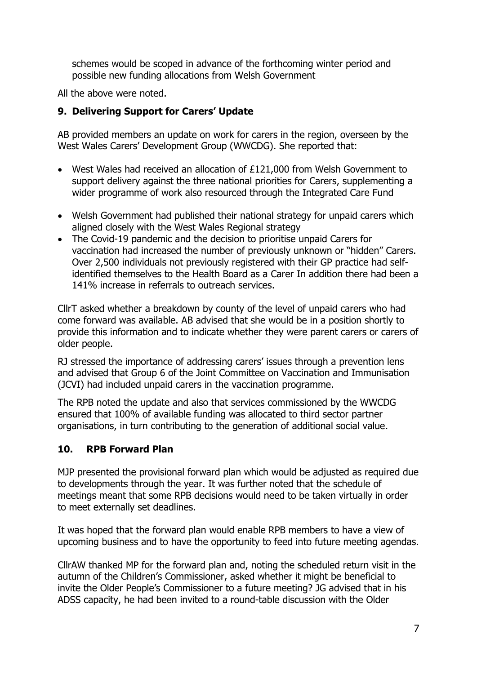schemes would be scoped in advance of the forthcoming winter period and possible new funding allocations from Welsh Government

All the above were noted.

## **9. Delivering Support for Carers' Update**

AB provided members an update on work for carers in the region, overseen by the West Wales Carers' Development Group (WWCDG). She reported that:

- West Wales had received an allocation of £121,000 from Welsh Government to support delivery against the three national priorities for Carers, supplementing a wider programme of work also resourced through the Integrated Care Fund
- Welsh Government had published their national strategy for unpaid carers which aligned closely with the West Wales Regional strategy
- The Covid-19 pandemic and the decision to prioritise unpaid Carers for vaccination had increased the number of previously unknown or "hidden" Carers. Over 2,500 individuals not previously registered with their GP practice had selfidentified themselves to the Health Board as a Carer In addition there had been a 141% increase in referrals to outreach services.

CllrT asked whether a breakdown by county of the level of unpaid carers who had come forward was available. AB advised that she would be in a position shortly to provide this information and to indicate whether they were parent carers or carers of older people.

RJ stressed the importance of addressing carers' issues through a prevention lens and advised that Group 6 of the Joint Committee on Vaccination and Immunisation (JCVI) had included unpaid carers in the vaccination programme.

The RPB noted the update and also that services commissioned by the WWCDG ensured that 100% of available funding was allocated to third sector partner organisations, in turn contributing to the generation of additional social value.

## **10. RPB Forward Plan**

MJP presented the provisional forward plan which would be adjusted as required due to developments through the year. It was further noted that the schedule of meetings meant that some RPB decisions would need to be taken virtually in order to meet externally set deadlines.

It was hoped that the forward plan would enable RPB members to have a view of upcoming business and to have the opportunity to feed into future meeting agendas.

CllrAW thanked MP for the forward plan and, noting the scheduled return visit in the autumn of the Children's Commissioner, asked whether it might be beneficial to invite the Older People's Commissioner to a future meeting? JG advised that in his ADSS capacity, he had been invited to a round-table discussion with the Older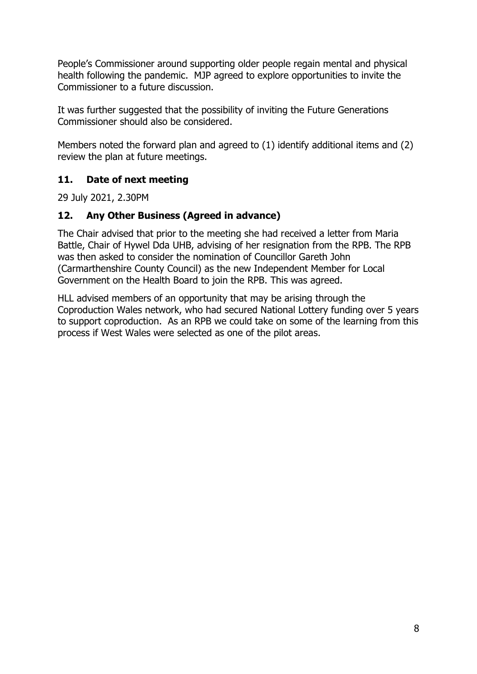People's Commissioner around supporting older people regain mental and physical health following the pandemic. MJP agreed to explore opportunities to invite the Commissioner to a future discussion.

It was further suggested that the possibility of inviting the Future Generations Commissioner should also be considered.

Members noted the forward plan and agreed to (1) identify additional items and (2) review the plan at future meetings.

## **11. Date of next meeting**

29 July 2021, 2.30PM

## **12. Any Other Business (Agreed in advance)**

The Chair advised that prior to the meeting she had received a letter from Maria Battle, Chair of Hywel Dda UHB, advising of her resignation from the RPB. The RPB was then asked to consider the nomination of Councillor Gareth John (Carmarthenshire County Council) as the new Independent Member for Local Government on the Health Board to join the RPB. This was agreed.

HLL advised members of an opportunity that may be arising through the Coproduction Wales network, who had secured National Lottery funding over 5 years to support coproduction. As an RPB we could take on some of the learning from this process if West Wales were selected as one of the pilot areas.